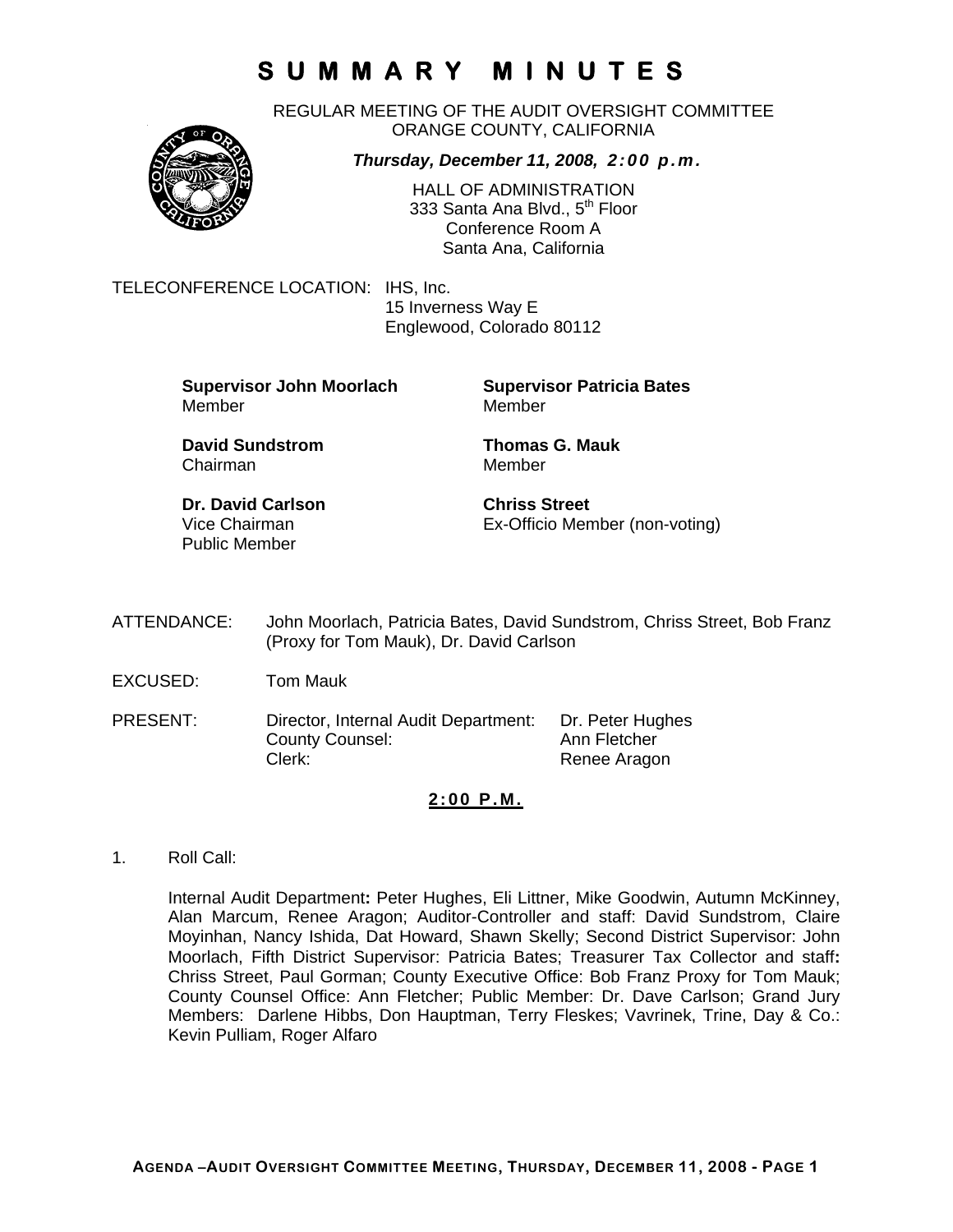REGULAR MEETING OF THE AUDIT OVERSIGHT COMMITTEE ORANGE COUNTY, CALIFORNIA



*Thursday, December 11, 2008, 2:00 p.m.*

HALL OF ADMINISTRATION 333 Santa Ana Blvd., 5<sup>th</sup> Floor Conference Room A Santa Ana, California

TELECONFERENCE LOCATION: IHS, Inc.

 15 Inverness Way E Englewood, Colorado 80112

**Supervisor John Moorlach Supervisor Patricia Bates** Member Member

Chairman Member

**David Sundstrom Thomas G. Mauk** 

**Dr. David Carlson Chriss Street** Public Member

Vice Chairman Ex-Officio Member (non-voting)

- ATTENDANCE: John Moorlach, Patricia Bates, David Sundstrom, Chriss Street, Bob Franz (Proxy for Tom Mauk), Dr. David Carlson
- EXCUSED: Tom Mauk
- PRESENT: Director, Internal Audit Department: Dr. Peter Hughes County Counsel: Ann Fletcher Clerk: Clerk: Renee Aragon

### **2:00 P.M.**

1. Roll Call:

Internal Audit Department**:** Peter Hughes, Eli Littner, Mike Goodwin, Autumn McKinney, Alan Marcum, Renee Aragon; Auditor-Controller and staff: David Sundstrom, Claire Moyinhan, Nancy Ishida, Dat Howard, Shawn Skelly; Second District Supervisor: John Moorlach, Fifth District Supervisor: Patricia Bates; Treasurer Tax Collector and staff**:** Chriss Street, Paul Gorman; County Executive Office: Bob Franz Proxy for Tom Mauk; County Counsel Office: Ann Fletcher; Public Member: Dr. Dave Carlson; Grand Jury Members: Darlene Hibbs, Don Hauptman, Terry Fleskes; Vavrinek, Trine, Day & Co.: Kevin Pulliam, Roger Alfaro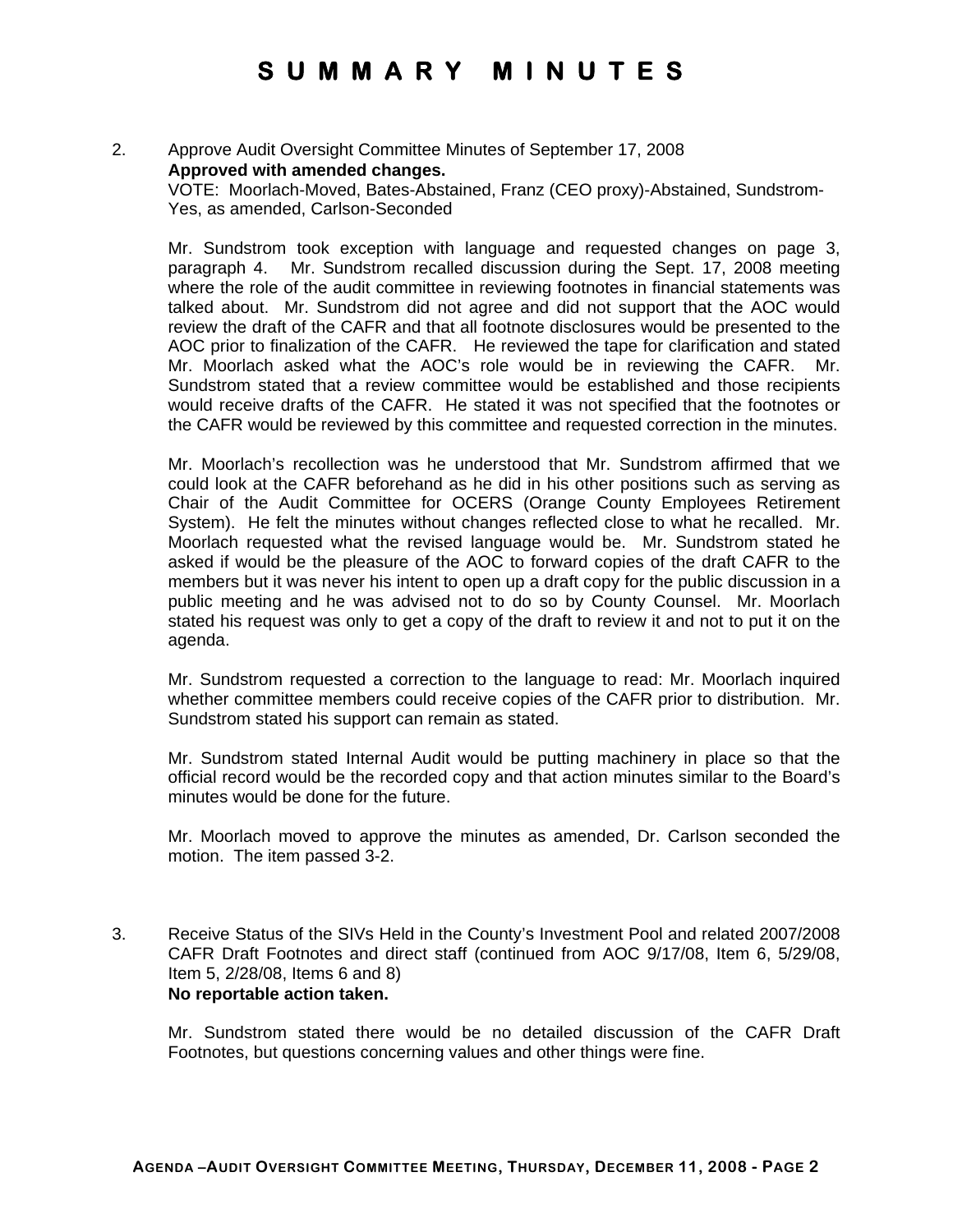### 2. Approve Audit Oversight Committee Minutes of September 17, 2008 **Approved with amended changes.**

VOTE: Moorlach-Moved, Bates-Abstained, Franz (CEO proxy)-Abstained, Sundstrom-Yes, as amended, Carlson-Seconded

Mr. Sundstrom took exception with language and requested changes on page 3, paragraph 4. Mr. Sundstrom recalled discussion during the Sept. 17, 2008 meeting where the role of the audit committee in reviewing footnotes in financial statements was talked about. Mr. Sundstrom did not agree and did not support that the AOC would review the draft of the CAFR and that all footnote disclosures would be presented to the AOC prior to finalization of the CAFR. He reviewed the tape for clarification and stated Mr. Moorlach asked what the AOC's role would be in reviewing the CAFR. Mr. Sundstrom stated that a review committee would be established and those recipients would receive drafts of the CAFR. He stated it was not specified that the footnotes or the CAFR would be reviewed by this committee and requested correction in the minutes.

Mr. Moorlach's recollection was he understood that Mr. Sundstrom affirmed that we could look at the CAFR beforehand as he did in his other positions such as serving as Chair of the Audit Committee for OCERS (Orange County Employees Retirement System). He felt the minutes without changes reflected close to what he recalled. Mr. Moorlach requested what the revised language would be. Mr. Sundstrom stated he asked if would be the pleasure of the AOC to forward copies of the draft CAFR to the members but it was never his intent to open up a draft copy for the public discussion in a public meeting and he was advised not to do so by County Counsel. Mr. Moorlach stated his request was only to get a copy of the draft to review it and not to put it on the agenda.

Mr. Sundstrom requested a correction to the language to read: Mr. Moorlach inquired whether committee members could receive copies of the CAFR prior to distribution. Mr. Sundstrom stated his support can remain as stated.

Mr. Sundstrom stated Internal Audit would be putting machinery in place so that the official record would be the recorded copy and that action minutes similar to the Board's minutes would be done for the future.

Mr. Moorlach moved to approve the minutes as amended, Dr. Carlson seconded the motion. The item passed 3-2.

3. Receive Status of the SIVs Held in the County's Investment Pool and related 2007/2008 CAFR Draft Footnotes and direct staff (continued from AOC 9/17/08, Item 6, 5/29/08, Item 5, 2/28/08, Items 6 and 8) **No reportable action taken.** 

Mr. Sundstrom stated there would be no detailed discussion of the CAFR Draft Footnotes, but questions concerning values and other things were fine.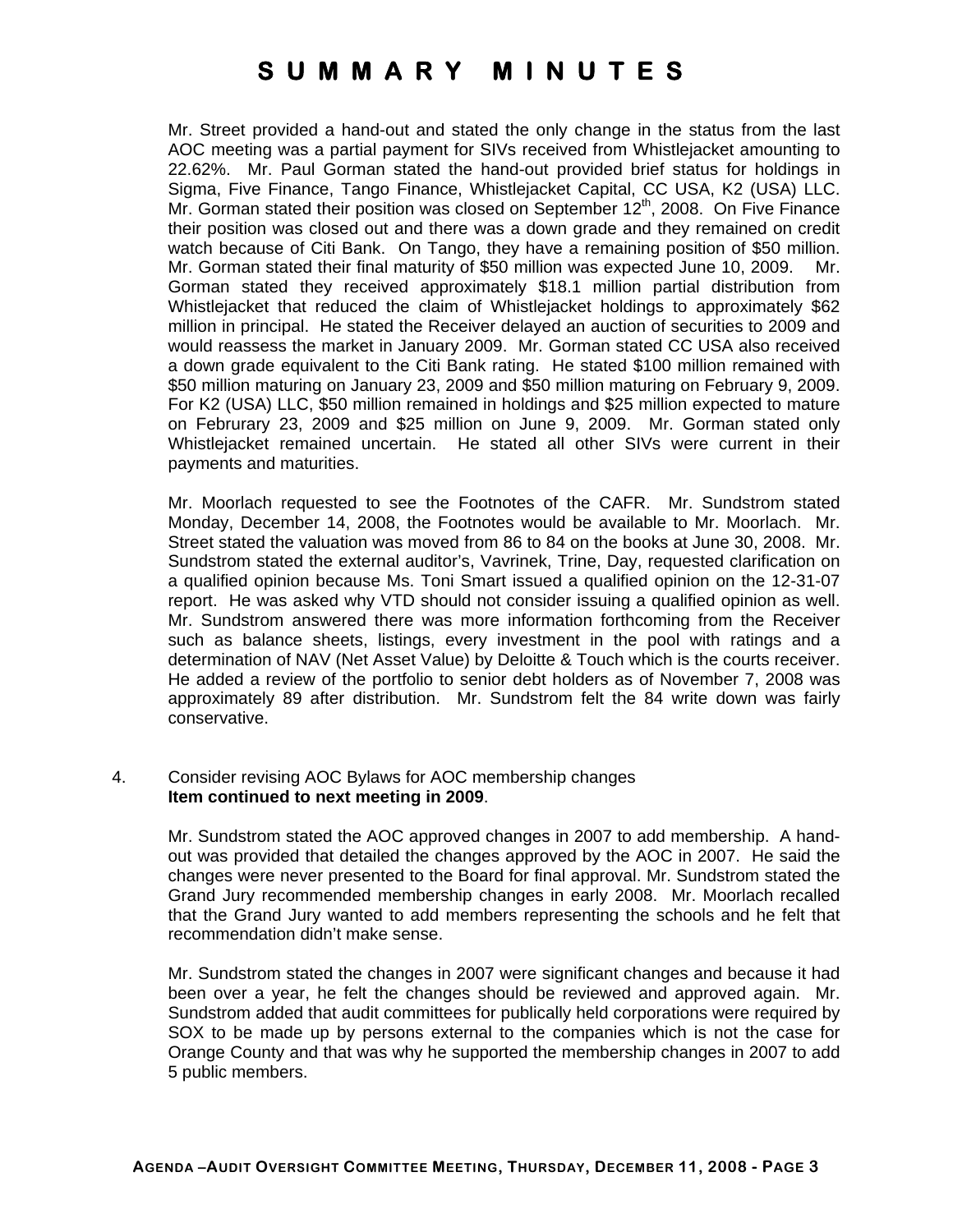Mr. Street provided a hand-out and stated the only change in the status from the last AOC meeting was a partial payment for SIVs received from Whistlejacket amounting to 22.62%. Mr. Paul Gorman stated the hand-out provided brief status for holdings in Sigma, Five Finance, Tango Finance, Whistlejacket Capital, CC USA, K2 (USA) LLC. Mr. Gorman stated their position was closed on September  $12<sup>th</sup>$ , 2008. On Five Finance their position was closed out and there was a down grade and they remained on credit watch because of Citi Bank. On Tango, they have a remaining position of \$50 million. Mr. Gorman stated their final maturity of \$50 million was expected June 10, 2009. Mr. Gorman stated they received approximately \$18.1 million partial distribution from Whistlejacket that reduced the claim of Whistlejacket holdings to approximately \$62 million in principal. He stated the Receiver delayed an auction of securities to 2009 and would reassess the market in January 2009. Mr. Gorman stated CC USA also received a down grade equivalent to the Citi Bank rating. He stated \$100 million remained with \$50 million maturing on January 23, 2009 and \$50 million maturing on February 9, 2009. For K2 (USA) LLC, \$50 million remained in holdings and \$25 million expected to mature on Februrary 23, 2009 and \$25 million on June 9, 2009. Mr. Gorman stated only Whistlejacket remained uncertain. He stated all other SIVs were current in their payments and maturities.

Mr. Moorlach requested to see the Footnotes of the CAFR. Mr. Sundstrom stated Monday, December 14, 2008, the Footnotes would be available to Mr. Moorlach. Mr. Street stated the valuation was moved from 86 to 84 on the books at June 30, 2008. Mr. Sundstrom stated the external auditor's, Vavrinek, Trine, Day, requested clarification on a qualified opinion because Ms. Toni Smart issued a qualified opinion on the 12-31-07 report. He was asked why VTD should not consider issuing a qualified opinion as well. Mr. Sundstrom answered there was more information forthcoming from the Receiver such as balance sheets, listings, every investment in the pool with ratings and a determination of NAV (Net Asset Value) by Deloitte & Touch which is the courts receiver. He added a review of the portfolio to senior debt holders as of November 7, 2008 was approximately 89 after distribution. Mr. Sundstrom felt the 84 write down was fairly conservative.

#### 4. Consider revising AOC Bylaws for AOC membership changes **Item continued to next meeting in 2009**.

Mr. Sundstrom stated the AOC approved changes in 2007 to add membership. A handout was provided that detailed the changes approved by the AOC in 2007. He said the changes were never presented to the Board for final approval. Mr. Sundstrom stated the Grand Jury recommended membership changes in early 2008. Mr. Moorlach recalled that the Grand Jury wanted to add members representing the schools and he felt that recommendation didn't make sense.

Mr. Sundstrom stated the changes in 2007 were significant changes and because it had been over a year, he felt the changes should be reviewed and approved again. Mr. Sundstrom added that audit committees for publically held corporations were required by SOX to be made up by persons external to the companies which is not the case for Orange County and that was why he supported the membership changes in 2007 to add 5 public members.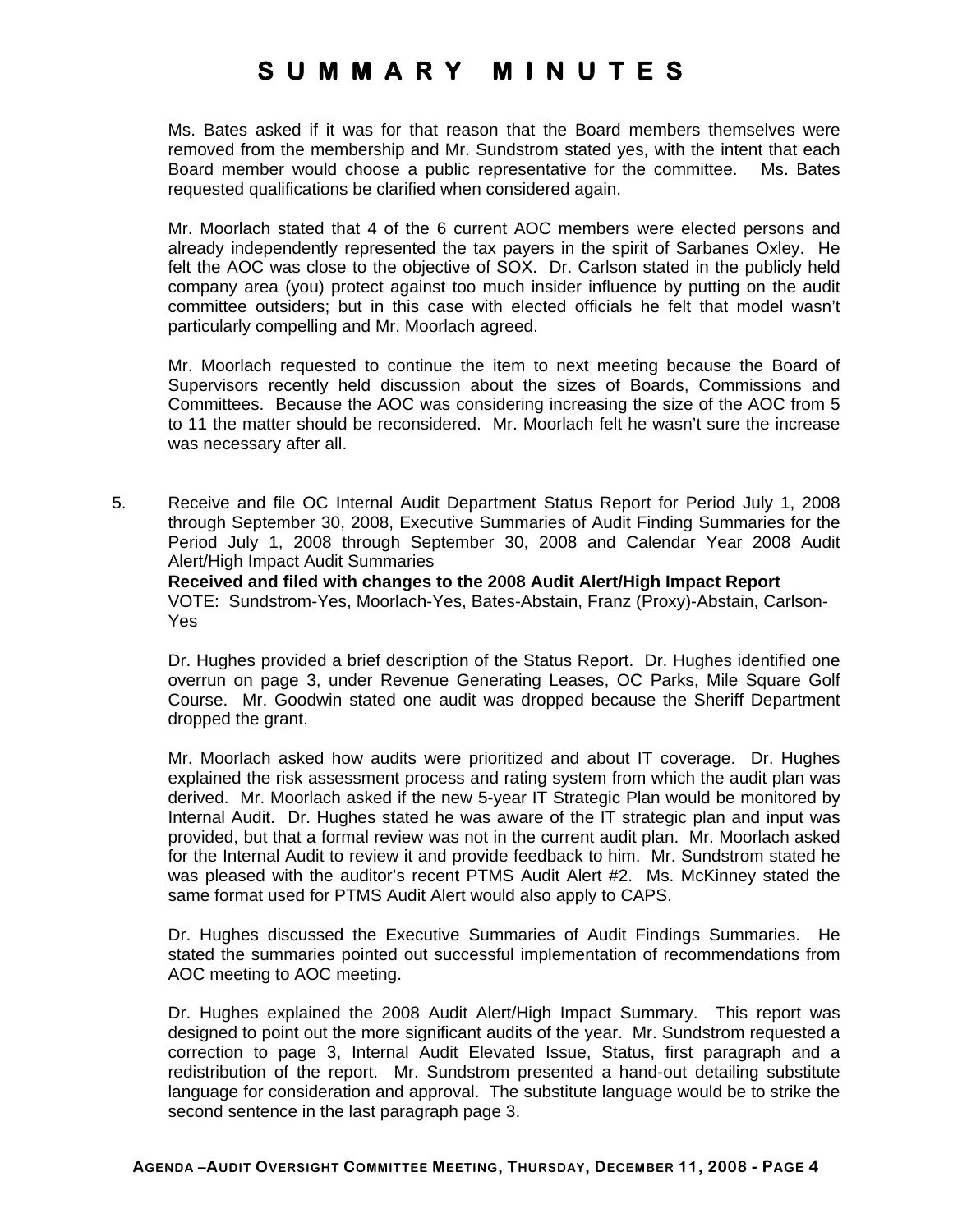Ms. Bates asked if it was for that reason that the Board members themselves were removed from the membership and Mr. Sundstrom stated yes, with the intent that each Board member would choose a public representative for the committee. Ms. Bates requested qualifications be clarified when considered again.

Mr. Moorlach stated that 4 of the 6 current AOC members were elected persons and already independently represented the tax payers in the spirit of Sarbanes Oxley. He felt the AOC was close to the objective of SOX. Dr. Carlson stated in the publicly held company area (you) protect against too much insider influence by putting on the audit committee outsiders; but in this case with elected officials he felt that model wasn't particularly compelling and Mr. Moorlach agreed.

Mr. Moorlach requested to continue the item to next meeting because the Board of Supervisors recently held discussion about the sizes of Boards, Commissions and Committees. Because the AOC was considering increasing the size of the AOC from 5 to 11 the matter should be reconsidered. Mr. Moorlach felt he wasn't sure the increase was necessary after all.

5. Receive and file OC Internal Audit Department Status Report for Period July 1, 2008 through September 30, 2008, Executive Summaries of Audit Finding Summaries for the Period July 1, 2008 through September 30, 2008 and Calendar Year 2008 Audit Alert/High Impact Audit Summaries

**Received and filed with changes to the 2008 Audit Alert/High Impact Report**  VOTE: Sundstrom-Yes, Moorlach-Yes, Bates-Abstain, Franz (Proxy)-Abstain, Carlson-Yes

Dr. Hughes provided a brief description of the Status Report. Dr. Hughes identified one overrun on page 3, under Revenue Generating Leases, OC Parks, Mile Square Golf Course. Mr. Goodwin stated one audit was dropped because the Sheriff Department dropped the grant.

Mr. Moorlach asked how audits were prioritized and about IT coverage. Dr. Hughes explained the risk assessment process and rating system from which the audit plan was derived. Mr. Moorlach asked if the new 5-year IT Strategic Plan would be monitored by Internal Audit. Dr. Hughes stated he was aware of the IT strategic plan and input was provided, but that a formal review was not in the current audit plan. Mr. Moorlach asked for the Internal Audit to review it and provide feedback to him. Mr. Sundstrom stated he was pleased with the auditor's recent PTMS Audit Alert #2. Ms. McKinney stated the same format used for PTMS Audit Alert would also apply to CAPS.

Dr. Hughes discussed the Executive Summaries of Audit Findings Summaries. He stated the summaries pointed out successful implementation of recommendations from AOC meeting to AOC meeting.

Dr. Hughes explained the 2008 Audit Alert/High Impact Summary. This report was designed to point out the more significant audits of the year. Mr. Sundstrom requested a correction to page 3, Internal Audit Elevated Issue, Status, first paragraph and a redistribution of the report. Mr. Sundstrom presented a hand-out detailing substitute language for consideration and approval. The substitute language would be to strike the second sentence in the last paragraph page 3.